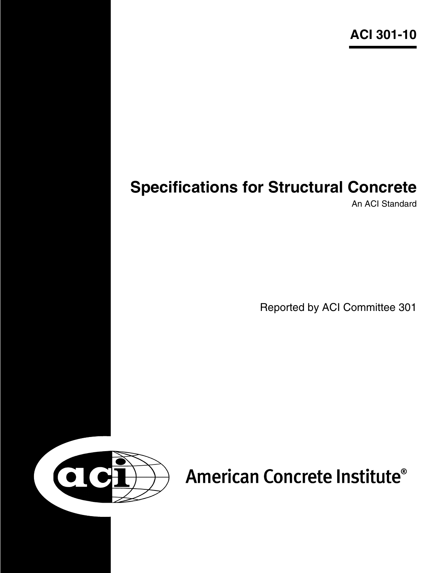**ACI 301-10**

# **Specifications for Structural Concrete**

An ACI Standard

Reported by ACI Committee 301



American Concrete Institute<sup>®</sup>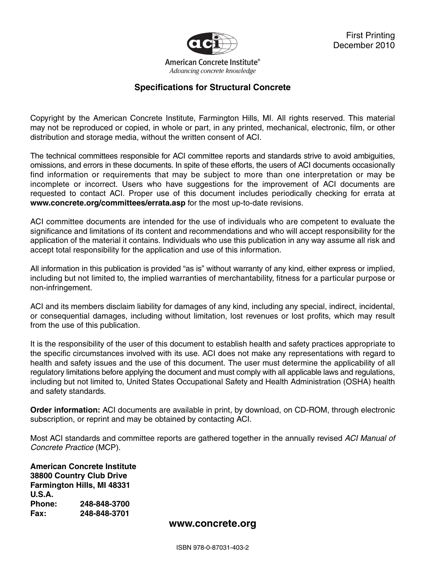

American Concrete Institute® *Advancing concrete knowledge*

### **Specifications for Structural Concrete**

Copyright by the American Concrete Institute, Farmington Hills, MI. All rights reserved. This material may not be reproduced or copied, in whole or part, in any printed, mechanical, electronic, film, or other distribution and storage media, without the written consent of ACI.

The technical committees responsible for ACI committee reports and standards strive to avoid ambiguities, omissions, and errors in these documents. In spite of these efforts, the users of ACI documents occasionally find information or requirements that may be subject to more than one interpretation or may be incomplete or incorrect. Users who have suggestions for the improvement of ACI documents are requested to contact ACI. Proper use of this document includes periodically checking for errata at **www.concrete.org/committees/errata.asp** for the most up-to-date revisions.

ACI committee documents are intended for the use of individuals who are competent to evaluate the significance and limitations of its content and recommendations and who will accept responsibility for the application of the material it contains. Individuals who use this publication in any way assume all risk and accept total responsibility for the application and use of this information.

All information in this publication is provided "as is" without warranty of any kind, either express or implied, including but not limited to, the implied warranties of merchantability, fitness for a particular purpose or non-infringement.

ACI and its members disclaim liability for damages of any kind, including any special, indirect, incidental, or consequential damages, including without limitation, lost revenues or lost profits, which may result from the use of this publication.

It is the responsibility of the user of this document to establish health and safety practices appropriate to the specific circumstances involved with its use. ACI does not make any representations with regard to health and safety issues and the use of this document. The user must determine the applicability of all regulatory limitations before applying the document and must comply with all applicable laws and regulations, including but not limited to, United States Occupational Safety and Health Administration (OSHA) health and safety standards.

**Order information:** ACI documents are available in print, by download, on CD-ROM, through electronic subscription, or reprint and may be obtained by contacting ACI.

Most ACI standards and committee reports are gathered together in the annually revised *ACI Manual of Concrete Practice* (MCP).

**American Concrete Institute 38800 Country Club Drive Farmington Hills, MI 48331 U.S.A. Phone: 248-848-3700 Fax: 248-848-3701**

#### **www.concrete.org**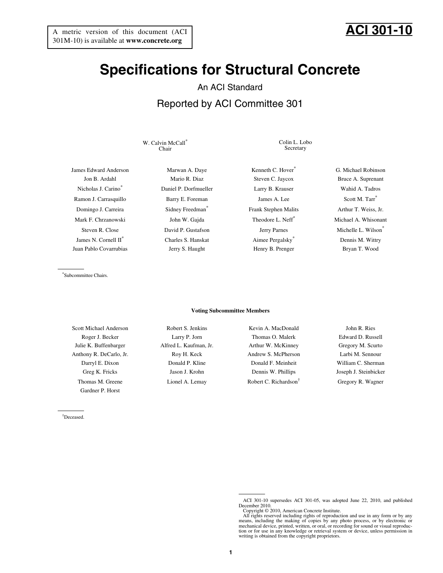## **ACI 301-10**

## **Specifications for Structural Concrete**

An ACI Standard

### Reported by ACI Committee 301

W. Calvin McCall\* Chair

Colin L. Lobo Secretary

James Edward Anderson Marwan A. Daye Kenneth C. Hover\* G. Michael Robinson Nicholas J. Carino\* Daniel P. Dorfmueller Larry B. Krauser Wahid A. Tadros Ramon J. Carrasquillo Barry E. Foreman James A. Lee Scott M. Tarr<sup>\*</sup> Domingo J. Carreira Sidney Freedman\* Frank Stephen Malits Arthur T. Weiss, Jr. Mark F. Chrzanowski John W. Gajda Theodore L. Neff<sup>\*</sup> Michael A. Whisonant James N. Cornell II<sup>\*</sup> Charles S. Hanskat Aimee Pergalsky<sup>\*</sup> Dennis M. Wittry

Jon B. Ardahl Mario R. Diaz Steven C. Jaycox Bruce A. Suprenant Steven R. Close **David P. Gustafson** Jerry Parnes Michelle L. Wilson Juan Pablo Covarrubias Jerry S. Haught Henry B. Prenger Bryan T. Wood

\* Subcommittee Chairs.

#### **Voting Subcommittee Members**

Scott Michael Anderson **Robert S. Jenkins** Kevin A. MacDonald John R. Ries Julie K. Buffenbarger Alfred L. Kaufman, Jr. Arthur W. McKinney Gregory M. Scurto Anthony R. DeCarlo, Jr. Roy H. Keck Andrew S. McPherson Larbi M. Sennour Gardner P. Horst

† Deceased.

Roger J. Becker **Larry P. Jorn Thomas O. Malerk** Edward D. Russell Darryl E. Dixon Donald P. Kline Donald F. Meinheit William C. Sherman Greg K. Fricks Jason J. Krohn Dennis W. Phillips Joseph J. Steinbicker Thomas M. Greene Lionel A. Lemay Robert C. Richardson<sup>†</sup> Gregory R. Wagner

ACI 301-10 supersedes ACI 301-05, was adopted June 22, 2010, and published December 2010. Copyright © 2010, American Concrete Institute.

All rights reserved including rights of reproduction and use in any form or by any means, including the making of copies by any photo process, or by electronic or mechanical device, printed, written, or oral, or recording for sound or visual reproduction or for use in any knowledge or retrieval system or device, unless permission in writing is obtained from the copyright proprietors.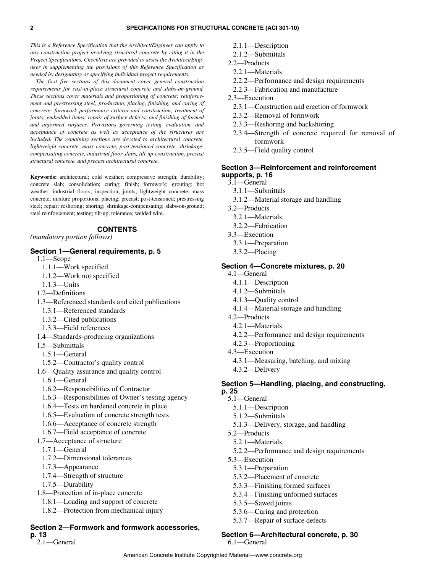*This is a Reference Specification that the Architect/Engineer can apply to any construction project involving structural concrete by citing it in the Project Specifications. Checklists are provided to assist the Architect/Engineer in supplementing the provisions of this Reference Specification as needed by designating or specifying individual project requirements.*

*The first five sections of this document cover general construction requirements for cast-in-place structural concrete and slabs-on-ground. These sections cover materials and proportioning of concrete; reinforcement and prestressing steel; production, placing, finishing, and curing of concrete; formwork performance criteria and construction; treatment of joints; embedded items; repair of surface defects; and finishing of formed and unformed surfaces. Provisions governing testing, evaluation, and acceptance of concrete as well as acceptance of the structures are included. The remaining sections are devoted to architectural concrete, lightweight concrete, mass concrete, post-tensioned concrete, shrinkagecompensating concrete, industrial floor slabs, tilt-up construction, precast structural concrete, and precast architectural concrete.*

**Keywords:** architectural; cold weather; compressive strength; durability; concrete slab; consolidation; curing; finish; formwork; grouting; hot weather; industrial floors; inspection; joints; lightweight concrete; mass concrete; mixture proportions; placing; precast; post-tensioned; prestressing steel; repair; reshoring; shoring; shrinkage-compensating; slabs-on-ground; steel reinforcement; testing; tilt-up; tolerance; welded wire.

#### **CONTENTS**

*(mandatory portion follows)*

#### **Section 1—General requirements, p. 5**

- 1.1—Scope
	- 1.1.1—Work specified
	- 1.1.2—Work not specified
- 1.1.3—Units
- 1.2—Definitions
- 1.3—Referenced standards and cited publications
	- 1.3.1—Referenced standards
	- 1.3.2—Cited publications
	- 1.3.3—Field references
- 1.4—Standards-producing organizations
- 1.5—Submittals
- 1.5.1—General
- 1.5.2—Contractor's quality control
- 1.6—Quality assurance and quality control
	- 1.6.1—General
	- 1.6.2—Responsibilities of Contractor
	- 1.6.3—Responsibilities of Owner's testing agency
	- 1.6.4—Tests on hardened concrete in place
	- 1.6.5—Evaluation of concrete strength tests
	- 1.6.6—Acceptance of concrete strength
- 1.6.7—Field acceptance of concrete
- 1.7—Acceptance of structure
- 1.7.1—General
- 1.7.2—Dimensional tolerances
- 1.7.3—Appearance
- 1.7.4—Strength of structure
- 1.7.5—Durability
- 1.8—Protection of in-place concrete
	- 1.8.1—Loading and support of concrete
	- 1.8.2—Protection from mechanical injury

#### **Section 2—Formwork and formwork accessories, p. 13**

2.1—General

- 2.1.1—Description
- 2.1.2—Submittals
- 2.2—Products
	- 2.2.1—Materials
	- 2.2.2—Performance and design requirements
	- 2.2.3—Fabrication and manufacture
- 2.3—Execution
	- 2.3.1—Construction and erection of formwork
	- 2.3.2—Removal of formwork
	- 2.3.3—Reshoring and backshoring
	- 2.3.4—Strength of concrete required for removal of formwork
	- 2.3.5—Field quality control

#### **Section 3—Reinforcement and reinforcement supports, p. 16**

- 3.1—General
- 3.1.1—Submittals
- 3.1.2—Material storage and handling
- 3.2—Products
- 3.2.1—Materials
- 3.2.2—Fabrication
- 3.3—Execution
	- 3.3.1—Preparation
	- 3.3.2—Placing

#### **Section 4—Concrete mixtures, p. 20**

- 4.1—General
- 4.1.1—Description
- 4.1.2—Submittals
- 4.1.3—Quality control
- 4.1.4—Material storage and handling
- 4.2—Products
- 4.2.1—Materials
- 4.2.2—Performance and design requirements
- 4.2.3—Proportioning
- 4.3—Execution
	- 4.3.1—Measuring, batching, and mixing
- 4.3.2—Delivery

#### **Section 5—Handling, placing, and constructing,**

- **p. 25** 5.1—General
	- 5.1.1—Description
	- 5.1.2—Submittals
	- 5.1.3—Delivery, storage, and handling
	- 5.2—Products
	- 5.2.1—Materials
	- 5.2.2—Performance and design requirements
	- 5.3—Execution
		- 5.3.1—Preparation
		- 5.3.2—Placement of concrete
		- 5.3.3—Finishing formed surfaces
		- 5.3.4—Finishing unformed surfaces
		- 5.3.5—Sawed joints
		- 5.3.6—Curing and protection
		- 5.3.7—Repair of surface defects

#### **Section 6—Architectural concrete, p. 30**

6.1—General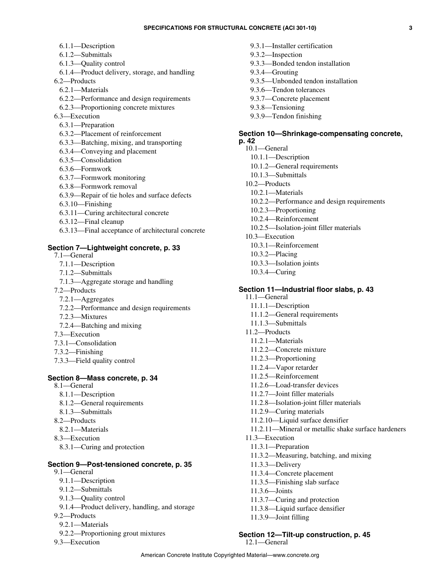- 6.1.1—Description
- 6.1.2—Submittals
- 6.1.3—Quality control
- 6.1.4—Product delivery, storage, and handling
- 6.2—Products
	- 6.2.1—Materials
	- 6.2.2—Performance and design requirements
	- 6.2.3—Proportioning concrete mixtures
- 6.3—Execution
	- 6.3.1—Preparation
	- 6.3.2—Placement of reinforcement
	- 6.3.3—Batching, mixing, and transporting
	- 6.3.4—Conveying and placement
	- 6.3.5—Consolidation
	- 6.3.6—Formwork
	- 6.3.7—Formwork monitoring
	- 6.3.8—Formwork removal
	- 6.3.9—Repair of tie holes and surface defects
	- 6.3.10—Finishing
	- 6.3.11—Curing architectural concrete
	- 6.3.12—Final cleanup
	- 6.3.13—Final acceptance of architectural concrete

#### **Section 7—Lightweight concrete, p. 33**

- 7.1—General
	- 7.1.1—Description
	- 7.1.2—Submittals
	- 7.1.3—Aggregate storage and handling
- 7.2—Products
	- 7.2.1—Aggregates
	- 7.2.2—Performance and design requirements
	- 7.2.3—Mixtures
	- 7.2.4—Batching and mixing
- 7.3—Execution
- 7.3.1—Consolidation
- 7.3.2—Finishing
- 7.3.3—Field quality control

#### **Section 8—Mass concrete, p. 34**

- 8.1—General
	- 8.1.1—Description
	- 8.1.2—General requirements
- 8.1.3—Submittals
- 8.2—Products
- 8.2.1—Materials
- 8.3—Execution
	- 8.3.1—Curing and protection

#### **Section 9—Post-tensioned concrete, p. 35**

- 9.1—General
	- 9.1.1—Description
	- 9.1.2—Submittals
	- 9.1.3—Quality control
	- 9.1.4—Product delivery, handling, and storage
- 9.2—Products
	- 9.2.1—Materials
	- 9.2.2—Proportioning grout mixtures
- 9.3—Execution
- 9.3.1—Installer certification 9.3.2—Inspection
- 9.3.3—Bonded tendon installation
- 9.3.4—Grouting
- 9.3.5—Unbonded tendon installation
- 9.3.6—Tendon tolerances
- 9.3.7—Concrete placement
- 9.3.8—Tensioning
- 9.3.9—Tendon finishing

#### **Section 10—Shrinkage-compensating concrete,**

- **p. 42**
	- 10.1—General
		- 10.1.1—Description
		- 10.1.2—General requirements
	- 10.1.3—Submittals
	- 10.2—Products
		- 10.2.1—Materials
		- 10.2.2—Performance and design requirements
		- 10.2.3—Proportioning
		- 10.2.4—Reinforcement
		- 10.2.5—Isolation-joint filler materials
	- 10.3—Execution
		- 10.3.1—Reinforcement
		- 10.3.2—Placing
	- 10.3.3—Isolation joints
	- 10.3.4—Curing

#### **Section 11—Industrial floor slabs, p. 43**

- 11.1—General
- 11.1.1—Description
- 11.1.2—General requirements
- 11.1.3—Submittals
- 11.2—Products
	- 11.2.1—Materials
	- 11.2.2—Concrete mixture
	- 11.2.3—Proportioning
	- 11.2.4—Vapor retarder
	- 11.2.5—Reinforcement
	- 11.2.6—Load-transfer devices
	- 11.2.7—Joint filler materials

11.3.4—Concrete placement 11.3.5—Finishing slab surface

11.3.7—Curing and protection 11.3.8—Liquid surface densifier

**Section 12—Tilt-up construction, p. 45**

11.2.8—Isolation-joint filler materials

11.3.2—Measuring, batching, and mixing

- 11.2.9—Curing materials
- 11.2.10—Liquid surface densifier
- 11.2.11—Mineral or metallic shake surface hardeners
- 11.3—Execution

American Concrete Institute Copyrighted Material—www.concrete.org

11.3.1—Preparation

11.3.3—Delivery

11.3.6—Joints

12.1—General

11.3.9—Joint filling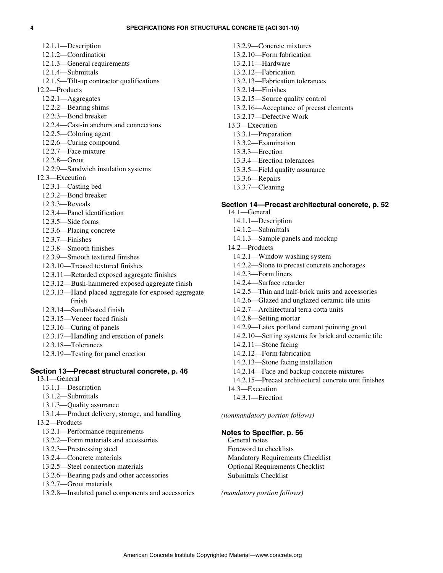#### **4 SPECIFICATIONS FOR STRUCTURAL CONCRETE (ACI 301-10)**

- 12.1.1—Description
- 12.1.2—Coordination
- 12.1.3—General requirements
- 12.1.4—Submittals
- 12.1.5—Tilt-up contractor qualifications
- 12.2—Products
	- 12.2.1—Aggregates
	- 12.2.2—Bearing shims
	- 12.2.3—Bond breaker
	- 12.2.4—Cast-in anchors and connections
	- 12.2.5—Coloring agent
	- 12.2.6—Curing compound
	- 12.2.7—Face mixture
	- 12.2.8—Grout
	- 12.2.9—Sandwich insulation systems
- 12.3—Execution
	- 12.3.1—Casting bed
	- 12.3.2—Bond breaker
	- 12.3.3—Reveals
	- 12.3.4—Panel identification
	- 12.3.5—Side forms
	- 12.3.6—Placing concrete
	- 12.3.7—Finishes
	- 12.3.8—Smooth finishes
	- 12.3.9—Smooth textured finishes
	- 12.3.10—Treated textured finishes
	- 12.3.11—Retarded exposed aggregate finishes
	- 12.3.12—Bush-hammered exposed aggregate finish
	- 12.3.13—Hand placed aggregate for exposed aggregate finish
	- 12.3.14—Sandblasted finish
	- 12.3.15—Veneer faced finish
	- 12.3.16—Curing of panels
	- 12.3.17—Handling and erection of panels
	- 12.3.18—Tolerances
	- 12.3.19—Testing for panel erection

#### **Section 13—Precast structural concrete, p. 46**

- 13.1—General
	- 13.1.1—Description
	- 13.1.2—Submittals
	- 13.1.3—Quality assurance
	- 13.1.4—Product delivery, storage, and handling
- 13.2—Products
	- 13.2.1—Performance requirements
- 13.2.2—Form materials and accessories
- 13.2.3—Prestressing steel
- 13.2.4—Concrete materials
- 13.2.5—Steel connection materials
- 13.2.6—Bearing pads and other accessories
- 13.2.7—Grout materials
- 13.2.8—Insulated panel components and accessories
- 13.2.9—Concrete mixtures 13.2.10—Form fabrication 13.2.11—Hardware 13.2.12—Fabrication 13.2.13—Fabrication tolerances 13.2.14—Finishes 13.2.15—Source quality control 13.2.16—Acceptance of precast elements 13.2.17—Defective Work 13.3—Execution 13.3.1—Preparation
- 13.3.2—Examination
- 13.3.3—Erection
- 13.3.4—Erection tolerances
- 
- 13.3.5—Field quality assurance
- 13.3.6—Repairs
- 13.3.7—Cleaning

#### **Section 14—Precast architectural concrete, p. 52**

- 14.1—General
- 14.1.1—Description
- 14.1.2—Submittals
- 14.1.3—Sample panels and mockup
- 14.2—Products
	- 14.2.1—Window washing system
	- 14.2.2—Stone to precast concrete anchorages
	- 14.2.3—Form liners
	- 14.2.4—Surface retarder
	- 14.2.5—Thin and half-brick units and accessories
	- 14.2.6—Glazed and unglazed ceramic tile units
	- 14.2.7—Architectural terra cotta units
	- 14.2.8—Setting mortar
	- 14.2.9—Latex portland cement pointing grout
	- 14.2.10—Setting systems for brick and ceramic tile
	- 14.2.11—Stone facing
	- 14.2.12—Form fabrication
	- 14.2.13—Stone facing installation
	- 14.2.14—Face and backup concrete mixtures
- 14.2.15—Precast architectural concrete unit finishes
- 14.3—Execution
	- 14.3.1—Erection

*(nonmandatory portion follows)*

#### **Notes to Specifier, p. 56**

General notes Foreword to checklists Mandatory Requirements Checklist Optional Requirements Checklist Submittals Checklist

*(mandatory portion follows)*